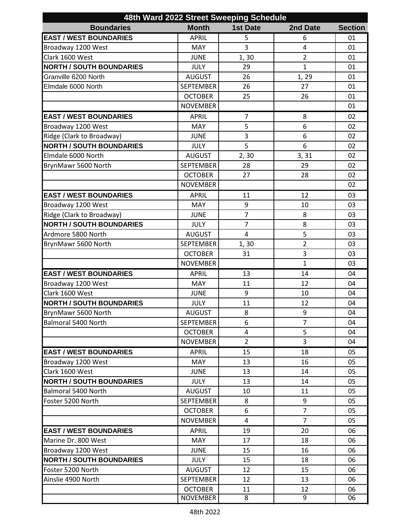| 48th Ward 2022 Street Sweeping Schedule |                  |                 |                |                |  |  |  |
|-----------------------------------------|------------------|-----------------|----------------|----------------|--|--|--|
| <b>Boundaries</b>                       | <b>Month</b>     | <b>1st Date</b> | 2nd Date       | <b>Section</b> |  |  |  |
| <b>EAST / WEST BOUNDARIES</b>           | <b>APRIL</b>     | 5               | 6              | 01             |  |  |  |
| Broadway 1200 West                      | <b>MAY</b>       | 3               | $\overline{4}$ | 01             |  |  |  |
| Clark 1600 West                         | <b>JUNE</b>      | 1,30            | $\overline{2}$ | 01             |  |  |  |
| <b>NORTH / SOUTH BOUNDARIES</b>         | <b>JULY</b>      | 29              | $\mathbf{1}$   | 01             |  |  |  |
| Granville 6200 North                    | <b>AUGUST</b>    | 26              | 1, 29          | 01             |  |  |  |
| Elmdale 6000 North                      | <b>SEPTEMBER</b> | 26              | 27             | 01             |  |  |  |
|                                         | <b>OCTOBER</b>   | 25              | 26             | 01             |  |  |  |
|                                         | <b>NOVEMBER</b>  |                 |                | 01             |  |  |  |
| <b>EAST / WEST BOUNDARIES</b>           | <b>APRIL</b>     | $\overline{7}$  | 8              | 02             |  |  |  |
| Broadway 1200 West                      | <b>MAY</b>       | 5               | 6              | 02             |  |  |  |
| Ridge (Clark to Broadway)               | <b>JUNE</b>      | 3               | 6              | 02             |  |  |  |
| <b>NORTH / SOUTH BOUNDARIES</b>         | <b>JULY</b>      | 5               | 6              | 02             |  |  |  |
| Elmdale 6000 North                      | <b>AUGUST</b>    | 2, 30           | 3, 31          | 02             |  |  |  |
| BrynMawr 5600 North                     | <b>SEPTEMBER</b> | 28              | 29             | 02             |  |  |  |
|                                         | <b>OCTOBER</b>   | 27              | 28             | 02             |  |  |  |
|                                         | <b>NOVEMBER</b>  |                 |                | 02             |  |  |  |
| <b>EAST / WEST BOUNDARIES</b>           | <b>APRIL</b>     | 11              | 12             | 03             |  |  |  |
| Broadway 1200 West                      | <b>MAY</b>       | 9               | 10             | 03             |  |  |  |
| Ridge (Clark to Broadway)               | <b>JUNE</b>      | $\overline{7}$  | 8              | 03             |  |  |  |
| <b>NORTH / SOUTH BOUNDARIES</b>         | <b>JULY</b>      | $\overline{7}$  | 8              | 03             |  |  |  |
| Ardmore 5800 North                      | <b>AUGUST</b>    | $\overline{4}$  | 5              | 03             |  |  |  |
| BrynMawr 5600 North                     | <b>SEPTEMBER</b> | 1, 30           | $\overline{2}$ | 03             |  |  |  |
|                                         | <b>OCTOBER</b>   | 31              | 3              | 03             |  |  |  |
|                                         | <b>NOVEMBER</b>  |                 | $\mathbf{1}$   | 03             |  |  |  |
| <b>EAST / WEST BOUNDARIES</b>           | <b>APRIL</b>     | 13              | 14             | 04             |  |  |  |
| Broadway 1200 West                      | MAY              | 11              | 12             | 04             |  |  |  |
| Clark 1600 West                         | <b>JUNE</b>      | 9               | 10             | 04             |  |  |  |
| <b>NORTH / SOUTH BOUNDARIES</b>         | JULY             | 11              | 12             | 04             |  |  |  |
| BrynMawr 5600 North                     | <b>AUGUST</b>    | 8               | 9              | 04             |  |  |  |
| Balmoral 5400 North                     | SEPTEMBER        | 6               | $\overline{7}$ | 04             |  |  |  |
|                                         | <b>OCTOBER</b>   | 4               | 5              | 04             |  |  |  |
|                                         | <b>NOVEMBER</b>  | $\overline{2}$  | 3              | 04             |  |  |  |
| <b>EAST / WEST BOUNDARIES</b>           | <b>APRIL</b>     | 15              | 18             | 05             |  |  |  |
| Broadway 1200 West                      | <b>MAY</b>       | 13              | 16             | 05             |  |  |  |
| Clark 1600 West                         | <b>JUNE</b>      | 13              | 14             | 05             |  |  |  |
| <b>NORTH / SOUTH BOUNDARIES</b>         | <b>JULY</b>      | 13              | 14             | 05             |  |  |  |
| Balmoral 5400 North                     | <b>AUGUST</b>    | 10              | 11             | 05             |  |  |  |
| Foster 5200 North                       | <b>SEPTEMBER</b> | 8               | 9              | 05             |  |  |  |
|                                         | <b>OCTOBER</b>   | 6               | $\overline{7}$ | 05             |  |  |  |
|                                         | <b>NOVEMBER</b>  | 4               | $\overline{7}$ | 05             |  |  |  |
| <b>EAST / WEST BOUNDARIES</b>           | <b>APRIL</b>     | 19              | 20             | 06             |  |  |  |
| Marine Dr. 800 West                     | <b>MAY</b>       | 17              | 18             | 06             |  |  |  |
| Broadway 1200 West                      | <b>JUNE</b>      | 15              | 16             | 06             |  |  |  |
| <b>NORTH / SOUTH BOUNDARIES</b>         | <b>JULY</b>      | 15              | 18             | 06             |  |  |  |
| Foster 5200 North                       | <b>AUGUST</b>    | 12              | 15             | 06             |  |  |  |
| Ainslie 4900 North                      | <b>SEPTEMBER</b> | 12              | 13             | 06             |  |  |  |
|                                         | <b>OCTOBER</b>   | 11              | 12             | 06             |  |  |  |
|                                         | <b>NOVEMBER</b>  | 8               | 9              | 06             |  |  |  |